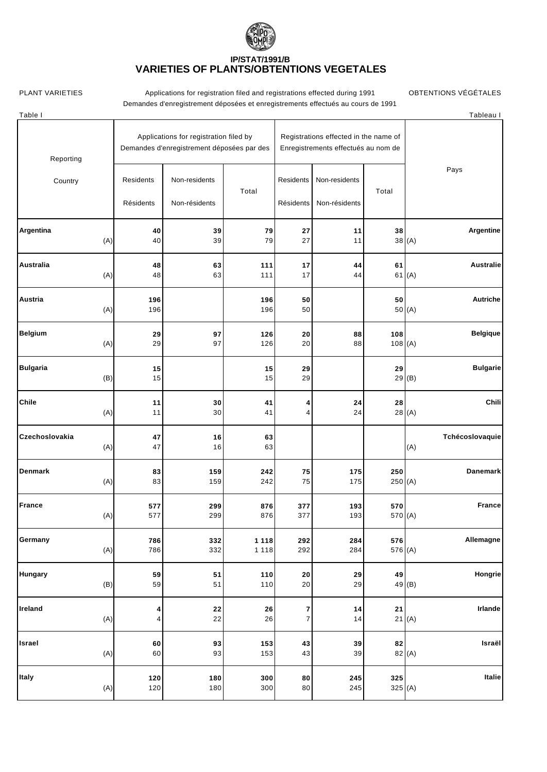## **IP/STAT/1991/B VARIETIES OF PLANTS/OBTENTIONS VÉGÉTALES**

PLANT VARIETIES **Applications for registration filed and registrations effected during 1991** OBTENTIONS VÉGÉTALES Demandes d'enregistrement déposées et enregistrements effectués au cours de 1991

| Table I                |                                                                                      |                                |            |                                                                              |                                |          | Tableau I                 |
|------------------------|--------------------------------------------------------------------------------------|--------------------------------|------------|------------------------------------------------------------------------------|--------------------------------|----------|---------------------------|
| Reporting              | Applications for registration filed by<br>Demandes d'enregistrement déposées par des |                                |            | Registrations effected in the name of<br>Enregistrements effectués au nom de |                                |          |                           |
| Country                | Residents<br>Résidents                                                               | Non-residents<br>Non-résidents | Total      | Residents<br>Résidents                                                       | Non-residents<br>Non-résidents | Total    | Pays                      |
| Argentina              | 40                                                                                   | 39                             | 79         | 27                                                                           | 11                             | 38       | Argentine                 |
| (A)                    | 40                                                                                   | 39                             | 79         | 27                                                                           | 11                             |          | 38(A)                     |
| Australia              | 48                                                                                   | 63                             | 111        | 17                                                                           | 44                             | 61       | Australie                 |
| (A)                    | 48                                                                                   | 63                             | 111        | 17                                                                           | 44                             |          | 61(A)                     |
| Austria<br>(A)         | 196<br>196                                                                           |                                | 196<br>196 | 50<br>50                                                                     |                                | 50       | <b>Autriche</b><br>50 (A) |
| <b>Belgium</b>         | 29                                                                                   | 97                             | 126        | 20                                                                           | 88                             | 108      | <b>Belgique</b>           |
| (A)                    | 29                                                                                   | 97                             | 126        | 20                                                                           | 88                             | 108(A)   |                           |
| <b>Bulgaria</b><br>(B) | 15<br>15                                                                             |                                | 15<br>15   | 29<br>29                                                                     |                                | 29<br>29 | <b>Bulgarie</b><br>(B)    |
| Chile                  | 11                                                                                   | 30                             | 41         | 4                                                                            | 24                             | 28       | Chili                     |
| (A)                    | 11                                                                                   | 30                             | 41         | 4                                                                            | 24                             |          | 28(A)                     |
| Czechoslovakia<br>(A)  | 47<br>47                                                                             | 16<br>16                       | 63<br>63   |                                                                              |                                |          | Tchécoslovaquie<br>(A)    |
| Denmark                | 83                                                                                   | 159                            | 242        | 75                                                                           | 175                            | 250      | Danemark                  |
| (A)                    | 83                                                                                   | 159                            | 242        | 75                                                                           | 175                            | 250 (A)  |                           |
| France                 | 577                                                                                  | 299                            | 876        | 377                                                                          | 193                            | 570      | <b>France</b>             |
| (A)                    | 577                                                                                  | 299                            | 876        | 377                                                                          | 193                            | 570 (A)  |                           |
| Germany                | 786                                                                                  | 332                            | 1 1 1 8    | 292                                                                          | 284                            | 576      | Allemagne                 |
| (A)                    | 786                                                                                  | 332                            | 1 1 1 8    | 292                                                                          | 284                            | 576 (A)  |                           |
| Hungary                | 59                                                                                   | 51                             | 110        | 20                                                                           | 29                             | 49       | Hongrie                   |
| (B)                    | 59                                                                                   | 51                             | $110$      | 20                                                                           | 29                             |          | 49 <sub>(B)</sub>         |
| Ireland                | 4                                                                                    | 22                             | 26         | 7                                                                            | 14                             | 21       | Irlande                   |
| (A)                    | 4                                                                                    | 22                             | 26         | $\overline{7}$                                                               | 14                             |          | 21(A)                     |
| Israel                 | 60                                                                                   | 93                             | 153        | 43                                                                           | 39                             | 82       | Israël                    |
| (A)                    | 60                                                                                   | 93                             | 153        | 43                                                                           | 39                             |          | 82 (A)                    |
| Italy                  | 120                                                                                  | 180                            | 300        | 80                                                                           | 245                            | 325      | Italie                    |
| (A)                    | 120                                                                                  | 180                            | 300        | 80                                                                           | 245                            | 325 (A)  |                           |
|                        |                                                                                      |                                |            |                                                                              |                                |          |                           |